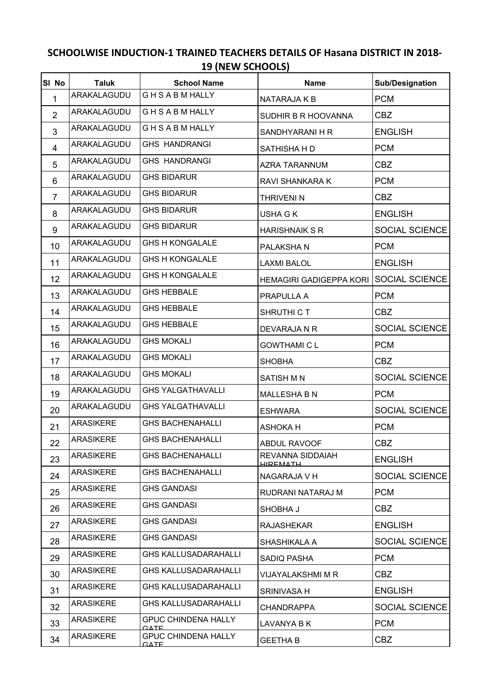## **SCHOOLWISE INDUCTION-1 TRAINED TEACHERS DETAILS OF Hasana DISTRICT IN 2018- 19 (NEW SCHOOLS)**

| SI No          | <b>Taluk</b>     | <b>School Name</b>                        | <b>Name</b>                         | Sub/Designation       |
|----------------|------------------|-------------------------------------------|-------------------------------------|-----------------------|
| 1              | ARAKALAGUDU      | <b>GHSABMHALLY</b>                        | NATARAJA K B                        | <b>PCM</b>            |
| $\overline{2}$ | ARAKALAGUDU      | <b>GHSABMHALLY</b>                        | SUDHIR B R HOOVANNA                 | <b>CBZ</b>            |
| 3              | ARAKALAGUDU      | <b>GHSABMHALLY</b>                        | SANDHYARANI H R                     | <b>ENGLISH</b>        |
| 4              | ARAKALAGUDU      | <b>GHS HANDRANGI</b>                      | SATHISHA H D                        | <b>PCM</b>            |
| 5              | ARAKALAGUDU      | <b>GHS HANDRANGI</b>                      | <b>AZRA TARANNUM</b>                | <b>CBZ</b>            |
| 6              | ARAKALAGUDU      | <b>GHS BIDARUR</b>                        | RAVI SHANKARA K                     | <b>PCM</b>            |
| $\overline{7}$ | ARAKALAGUDU      | <b>GHS BIDARUR</b>                        | <b>THRIVENI N</b>                   | <b>CBZ</b>            |
| 8              | ARAKALAGUDU      | <b>GHS BIDARUR</b>                        | USHA G K                            | <b>ENGLISH</b>        |
| 9              | ARAKALAGUDU      | <b>GHS BIDARUR</b>                        | <b>HARISHNAIK S R</b>               | <b>SOCIAL SCIENCE</b> |
| 10             | ARAKALAGUDU      | <b>GHS H KONGALALE</b>                    | PALAKSHA N                          | <b>PCM</b>            |
| 11             | ARAKALAGUDU      | <b>GHS H KONGALALE</b>                    | <b>LAXMI BALOL</b>                  | <b>ENGLISH</b>        |
| 12             | ARAKALAGUDU      | <b>GHS H KONGALALE</b>                    | HEMAGIRI GADIGEPPA KORI             | <b>SOCIAL SCIENCE</b> |
| 13             | ARAKALAGUDU      | <b>GHS HEBBALE</b>                        | PRAPULLA A                          | <b>PCM</b>            |
| 14             | ARAKALAGUDU      | <b>GHS HEBBALE</b>                        | SHRUTHI C T                         | <b>CBZ</b>            |
| 15             | ARAKALAGUDU      | <b>GHS HEBBALE</b>                        | DEVARAJA N R                        | <b>SOCIAL SCIENCE</b> |
| 16             | ARAKALAGUDU      | <b>GHS MOKALI</b>                         | <b>GOWTHAMI C L</b>                 | <b>PCM</b>            |
| 17             | ARAKALAGUDU      | <b>GHS MOKALI</b>                         | <b>SHOBHA</b>                       | <b>CBZ</b>            |
| 18             | ARAKALAGUDU      | <b>GHS MOKALI</b>                         | <b>SATISH M N</b>                   | <b>SOCIAL SCIENCE</b> |
| 19             | ARAKALAGUDU      | <b>GHS YALGATHAVALLI</b>                  | <b>MALLESHA B N</b>                 | <b>PCM</b>            |
| 20             | ARAKALAGUDU      | <b>GHS YALGATHAVALLI</b>                  | <b>ESHWARA</b>                      | <b>SOCIAL SCIENCE</b> |
| 21             | <b>ARASIKERE</b> | <b>GHS BACHENAHALLI</b>                   | <b>ASHOKAH</b>                      | <b>PCM</b>            |
| 22             | <b>ARASIKERE</b> | <b>GHS BACHENAHALLI</b>                   | ABDUL RAVOOF                        | <b>CBZ</b>            |
| 23             | <b>ARASIKERE</b> | <b>GHS BACHENAHALLI</b>                   | REVANNA SIDDAIAH<br><b>HIREMATH</b> | <b>ENGLISH</b>        |
| 24             | <b>ARASIKERE</b> | <b>GHS BACHENAHALLI</b>                   | NAGARAJA V H                        | <b>SOCIAL SCIENCE</b> |
| 25             | <b>ARASIKERE</b> | <b>GHS GANDASI</b>                        | RUDRANI NATARAJ M                   | <b>PCM</b>            |
| 26             | <b>ARASIKERE</b> | <b>GHS GANDASI</b>                        | SHOBHA J                            | <b>CBZ</b>            |
| 27             | <b>ARASIKERE</b> | <b>GHS GANDASI</b>                        | <b>RAJASHEKAR</b>                   | <b>ENGLISH</b>        |
| 28             | <b>ARASIKERE</b> | <b>GHS GANDASI</b>                        | SHASHIKALA A                        | SOCIAL SCIENCE        |
| 29             | <b>ARASIKERE</b> | <b>GHS KALLUSADARAHALLI</b>               | SADIQ PASHA                         | <b>PCM</b>            |
| 30             | <b>ARASIKERE</b> | <b>GHS KALLUSADARAHALLI</b>               | VIJAYALAKSHMI M R                   | <b>CBZ</b>            |
| 31             | <b>ARASIKERE</b> | <b>GHS KALLUSADARAHALLI</b>               | <b>SRINIVASA H</b>                  | <b>ENGLISH</b>        |
| 32             | <b>ARASIKERE</b> | <b>GHS KALLUSADARAHALLI</b>               | <b>CHANDRAPPA</b>                   | <b>SOCIAL SCIENCE</b> |
| 33             | <b>ARASIKERE</b> | <b>GPUC CHINDENA HALLY</b><br><b>GATE</b> | LAVANYA B K                         | <b>PCM</b>            |
| 34             | <b>ARASIKERE</b> | <b>GPUC CHINDENA HALLY</b><br><b>GATE</b> | <b>GEETHA B</b>                     | CBZ                   |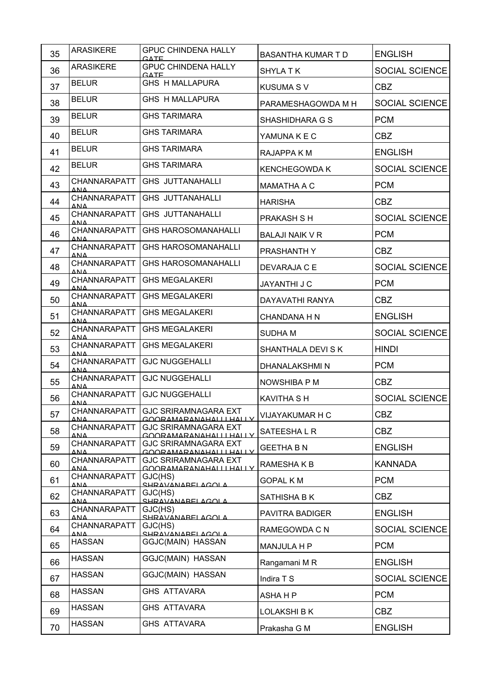| 35 | <b>ARASIKERE</b>                           | <b>GPUC CHINDENA HALLY</b><br><b>GATE</b>               | <b>BASANTHA KUMAR T D</b> | <b>ENGLISH</b>        |
|----|--------------------------------------------|---------------------------------------------------------|---------------------------|-----------------------|
| 36 | <b>ARASIKERE</b>                           | <b>GPUC CHINDENA HALLY</b><br><b>GATE</b>               | <b>SHYLA T K</b>          | SOCIAL SCIENCE        |
| 37 | <b>BELUR</b>                               | <b>GHS H MALLAPURA</b>                                  | <b>KUSUMA SV</b>          | <b>CBZ</b>            |
| 38 | <b>BELUR</b>                               | <b>GHS H MALLAPURA</b>                                  | PARAMESHAGOWDA M H        | SOCIAL SCIENCE        |
| 39 | <b>BELUR</b>                               | <b>GHS TARIMARA</b>                                     | SHASHIDHARA G S           | <b>PCM</b>            |
| 40 | <b>BELUR</b>                               | <b>GHS TARIMARA</b>                                     | YAMUNA K E C              | <b>CBZ</b>            |
| 41 | <b>BELUR</b>                               | <b>GHS TARIMARA</b>                                     | RAJAPPA K M               | <b>ENGLISH</b>        |
| 42 | <b>BELUR</b>                               | <b>GHS TARIMARA</b>                                     | <b>KENCHEGOWDA K</b>      | <b>SOCIAL SCIENCE</b> |
| 43 | CHANNARAPATT<br>ΔΝΔ                        | GHS JUTTANAHALLI                                        | <b>MAMATHA A C</b>        | <b>PCM</b>            |
| 44 | CHANNARAPATT<br>ΔΝΔ                        | <b>GHS JUTTANAHALLI</b>                                 | <b>HARISHA</b>            | <b>CBZ</b>            |
| 45 | CHANNARAPATT<br><b>ANA</b>                 | <b>GHS JUTTANAHALLI</b>                                 | <b>PRAKASH S H</b>        | <b>SOCIAL SCIENCE</b> |
| 46 | CHANNARAPATT<br>ΔΝΔ                        | <b>GHS HAROSOMANAHALLI</b>                              | <b>BALAJI NAIK V R</b>    | <b>PCM</b>            |
| 47 | CHANNARAPATT<br>ΔΜΔ                        | <b>GHS HAROSOMANAHALLI</b>                              | PRASHANTH Y               | <b>CBZ</b>            |
| 48 | CHANNARAPATT<br><b>ANA</b>                 | <b>GHS HAROSOMANAHALLI</b>                              | DEVARAJA C E              | <b>SOCIAL SCIENCE</b> |
| 49 | CHANNARAPATT<br>ΔΝΔ                        | <b>GHS MEGALAKERI</b>                                   | <b>JAYANTHI J C</b>       | <b>PCM</b>            |
| 50 | CHANNARAPATT<br>ΔΝΔ                        | <b>GHS MEGALAKERI</b>                                   | DAYAVATHI RANYA           | <b>CBZ</b>            |
| 51 | CHANNARAPATT<br>$\triangle NIA$            | <b>GHS MEGALAKERI</b>                                   | <b>CHANDANA H N</b>       | <b>ENGLISH</b>        |
| 52 | CHANNARAPATT<br>$\Delta \mathbf{M}$        | <b>GHS MEGALAKERI</b>                                   | <b>SUDHAM</b>             | <b>SOCIAL SCIENCE</b> |
| 53 | CHANNARAPATT<br>$\triangle$ N $\triangle$  | <b>GHS MEGALAKERI</b>                                   | SHANTHALA DEVI SK         | <b>HINDI</b>          |
| 54 | CHANNARAPATT<br>$\triangle$ NI $\triangle$ | <b>GJC NUGGEHALLI</b>                                   | DHANALAKSHMI N            | <b>PCM</b>            |
| 55 | CHANNARAPATT<br>$\Delta \text{N}$ $\Delta$ | <b>GJC NUGGEHALLI</b>                                   | NOWSHIBA P M              | <b>CBZ</b>            |
| 56 | CHANNARAPATT<br>ΔΝΔ                        | <b>GJC NUGGEHALLI</b>                                   | <b>KAVITHA SH</b>         | SOCIAL SCIENCE        |
| 57 | CHANNARAPATT<br>$\triangle N\triangle$     | <b>GJC SRIRAMNAGARA EXT</b><br>GOORAMARANAHAI I HAI I Y | VIJAYAKUMAR H C           | <b>CBZ</b>            |
| 58 | CHANNARAPATT<br>ΔΝΔ                        | <b>GJC SRIRAMNAGARA EXT</b><br>GOORAMARANAHALLLHALLY    | SATEESHALR                | <b>CBZ</b>            |
| 59 | CHANNARAPATT<br><b>ANA</b>                 | <b>GJC SRIRAMNAGARA EXT</b><br>GOORAMARANAHALLLHALLY    | <b>GEETHA B N</b>         | <b>ENGLISH</b>        |
| 60 | CHANNARAPATT<br>$\triangle NIA$            | <b>GJC SRIRAMNAGARA EXT</b><br>GOORAMARANAHALLIHALLY    | RAMESHAKB                 | <b>KANNADA</b>        |
| 61 | CHANNARAPATT<br>ΔΝΔ                        | GJC(HS)<br>SHRAVANAREI AGOI A                           | <b>GOPAL KM</b>           | <b>PCM</b>            |
| 62 | CHANNARAPATT<br>ΔΝΔ                        | GJC(HS)<br>SHRAVANAREI AGOI A                           | SATHISHA B K              | <b>CBZ</b>            |
| 63 | CHANNARAPATT<br>ΔΝΔ                        | GJC(HS)<br>SHRAVANAREI AGOI A                           | <b>PAVITRA BADIGER</b>    | <b>ENGLISH</b>        |
| 64 | CHANNARAPATT<br>ΔΜΔ                        | GJC(HS)<br>SHRAVANAREI AGOI A                           | RAMEGOWDA C N             | <b>SOCIAL SCIENCE</b> |
| 65 | <b>HASSAN</b>                              | GGJC(MAIN) HASSAN                                       | MANJULA H P               | <b>PCM</b>            |
| 66 | <b>HASSAN</b>                              | GGJC(MAIN) HASSAN                                       | Rangamani M R             | <b>ENGLISH</b>        |
| 67 | <b>HASSAN</b>                              | GGJC(MAIN) HASSAN                                       | Indira T S                | <b>SOCIAL SCIENCE</b> |
| 68 | <b>HASSAN</b>                              | <b>GHS ATTAVARA</b>                                     | ASHA H P                  | <b>PCM</b>            |
| 69 | <b>HASSAN</b>                              | <b>GHS ATTAVARA</b>                                     | LOLAKSHI B K              | <b>CBZ</b>            |
| 70 | <b>HASSAN</b>                              | <b>GHS ATTAVARA</b>                                     | Prakasha G M              | <b>ENGLISH</b>        |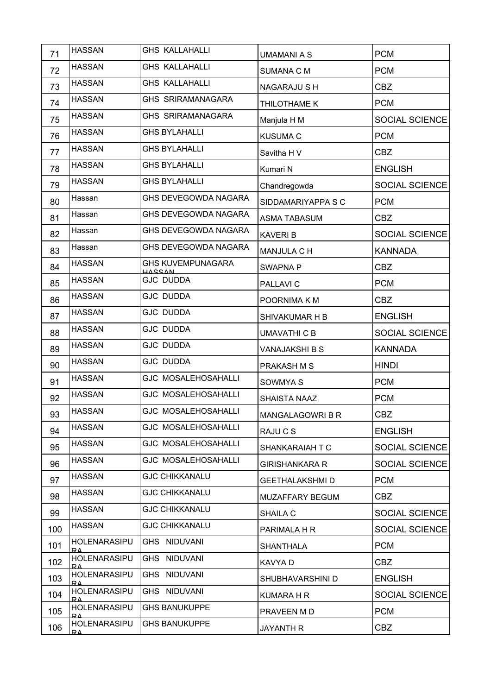| 71  | <b>HASSAN</b>                             | <b>GHS KALLAHALLI</b>                     | <b>UMAMANI A S</b>    | <b>PCM</b>            |
|-----|-------------------------------------------|-------------------------------------------|-----------------------|-----------------------|
| 72  | <b>HASSAN</b>                             | <b>GHS KALLAHALLI</b>                     | <b>SUMANA C M</b>     | <b>PCM</b>            |
| 73  | <b>HASSAN</b>                             | <b>GHS KALLAHALLI</b>                     | <b>NAGARAJU S H</b>   | <b>CBZ</b>            |
| 74  | <b>HASSAN</b>                             | GHS SRIRAMANAGARA                         | THILOTHAME K          | <b>PCM</b>            |
| 75  | <b>HASSAN</b>                             | GHS SRIRAMANAGARA                         | Manjula H M           | SOCIAL SCIENCE        |
| 76  | <b>HASSAN</b>                             | <b>GHS BYLAHALLI</b>                      | <b>KUSUMA C</b>       | <b>PCM</b>            |
| 77  | <b>HASSAN</b>                             | <b>GHS BYLAHALLI</b>                      | Savitha H V           | <b>CBZ</b>            |
| 78  | <b>HASSAN</b>                             | <b>GHS BYLAHALLI</b>                      | Kumari N              | <b>ENGLISH</b>        |
| 79  | <b>HASSAN</b>                             | <b>GHS BYLAHALLI</b>                      | Chandregowda          | SOCIAL SCIENCE        |
| 80  | Hassan                                    | GHS DEVEGOWDA NAGARA                      | SIDDAMARIYAPPA S C    | <b>PCM</b>            |
| 81  | Hassan                                    | GHS DEVEGOWDA NAGARA                      | <b>ASMA TABASUM</b>   | <b>CBZ</b>            |
| 82  | Hassan                                    | GHS DEVEGOWDA NAGARA                      | <b>KAVERIB</b>        | SOCIAL SCIENCE        |
| 83  | Hassan                                    | GHS DEVEGOWDA NAGARA                      | MANJULA C H           | <b>KANNADA</b>        |
| 84  | <b>HASSAN</b>                             | <b>GHS KUVEMPUNAGARA</b><br><b>HASSAN</b> | <b>SWAPNA P</b>       | <b>CBZ</b>            |
| 85  | <b>HASSAN</b>                             | <b>GJC DUDDA</b>                          | PALLAVI C             | <b>PCM</b>            |
| 86  | <b>HASSAN</b>                             | <b>GJC DUDDA</b>                          | POORNIMA K M          | <b>CBZ</b>            |
| 87  | <b>HASSAN</b>                             | <b>GJC DUDDA</b>                          | SHIVAKUMAR H B        | <b>ENGLISH</b>        |
| 88  | <b>HASSAN</b>                             | <b>GJC DUDDA</b>                          | <b>UMAVATHI C B</b>   | SOCIAL SCIENCE        |
| 89  | <b>HASSAN</b>                             | <b>GJC DUDDA</b>                          | VANAJAKSHI B S        | <b>KANNADA</b>        |
| 90  | <b>HASSAN</b>                             | <b>GJC DUDDA</b>                          | PRAKASH M S           | <b>HINDI</b>          |
| 91  | <b>HASSAN</b>                             | <b>GJC MOSALEHOSAHALLI</b>                | SOWMYA S              | <b>PCM</b>            |
| 92  | <b>HASSAN</b>                             | <b>GJC MOSALEHOSAHALLI</b>                | SHAISTA NAAZ          | <b>PCM</b>            |
| 93  | <b>HASSAN</b>                             | <b>GJC MOSALEHOSAHALLI</b>                | MANGALAGOWRI B R      | CBZ                   |
| 94  | <b>HASSAN</b>                             | <b>GJC MOSALEHOSAHALLI</b>                | RAJU C S              | <b>ENGLISH</b>        |
| 95  | <b>HASSAN</b>                             | <b>GJC MOSALEHOSAHALLI</b>                | SHANKARAIAH T C       | <b>SOCIAL SCIENCE</b> |
| 96  | <b>HASSAN</b>                             | <b>GJC MOSALEHOSAHALLI</b>                | <b>GIRISHANKARA R</b> | <b>SOCIAL SCIENCE</b> |
| 97  | <b>HASSAN</b>                             | <b>GJC CHIKKANALU</b>                     | GEETHALAKSHMI D       | <b>PCM</b>            |
| 98  | <b>HASSAN</b>                             | <b>GJC CHIKKANALU</b>                     | MUZAFFARY BEGUM       | <b>CBZ</b>            |
| 99  | <b>HASSAN</b>                             | <b>GJC CHIKKANALU</b>                     | SHAILA C              | <b>SOCIAL SCIENCE</b> |
| 100 | <b>HASSAN</b>                             | <b>GJC CHIKKANALU</b>                     | PARIMALA H R          | <b>SOCIAL SCIENCE</b> |
| 101 | <b>HOLENARASIPU</b><br>$\mathsf{R}\Delta$ | GHS NIDUVANI                              | <b>SHANTHALA</b>      | <b>PCM</b>            |
| 102 | HOLENARASIPU<br>DΔ                        | GHS NIDUVANI                              | KAVYA D               | <b>CBZ</b>            |
| 103 | <b>HOLENARASIPU</b><br>$\overline{R}$     | NIDUVANI<br><b>GHS</b>                    | SHUBHAVARSHINI D      | <b>ENGLISH</b>        |
| 104 | <b>HOLENARASIPU</b><br>$\mathbf{R}\Delta$ | GHS NIDUVANI                              | KUMARA H R            | <b>SOCIAL SCIENCE</b> |
| 105 | HOLENARASIPU<br>RΔ                        | <b>GHS BANUKUPPE</b>                      | PRAVEEN M D           | <b>PCM</b>            |
| 106 | <b>HOLENARASIPU</b><br>$\overline{R}$     | <b>GHS BANUKUPPE</b>                      | <b>JAYANTH R</b>      | CBZ                   |